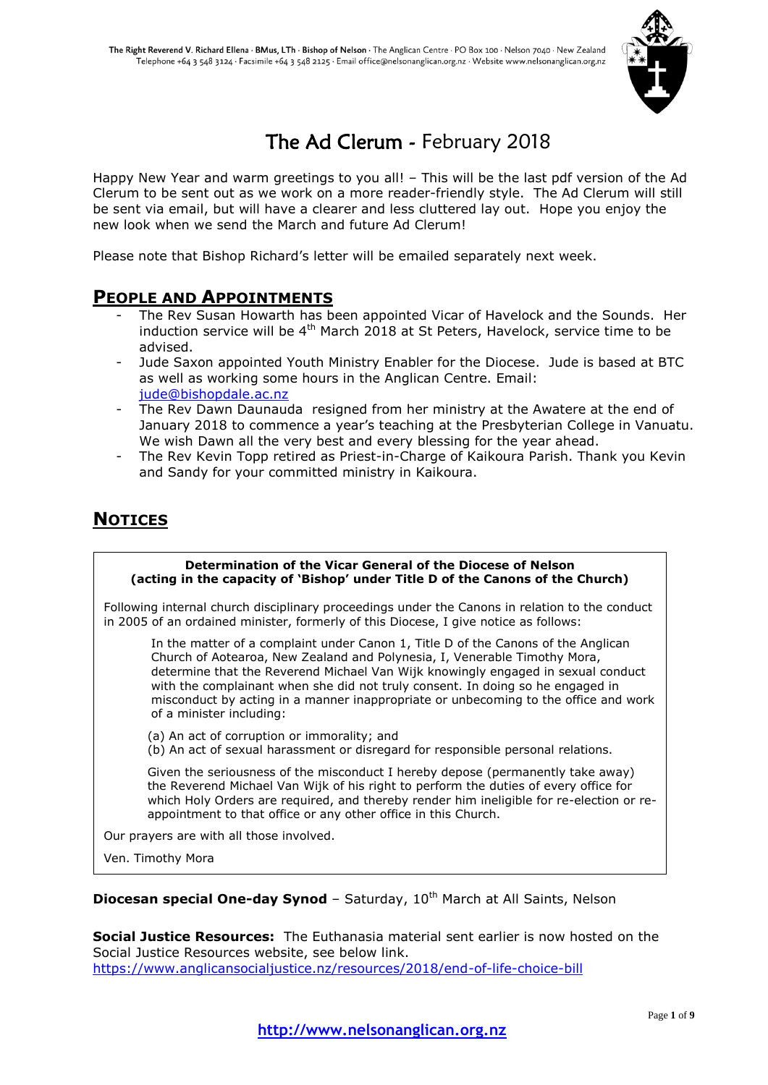

# The Ad Clerum - February 2018

Happy New Year and warm greetings to you all! – This will be the last pdf version of the Ad Clerum to be sent out as we work on a more reader-friendly style. The Ad Clerum will still be sent via email, but will have a clearer and less cluttered lay out. Hope you enjoy the new look when we send the March and future Ad Clerum!

Please note that Bishop Richard's letter will be emailed separately next week.

## **PEOPLE AND APPOINTMENTS**

- The Rev Susan Howarth has been appointed Vicar of Havelock and the Sounds. Her induction service will be  $4<sup>th</sup>$  March 2018 at St Peters, Havelock, service time to be advised.
- Jude Saxon appointed Youth Ministry Enabler for the Diocese. Jude is based at BTC as well as working some hours in the Anglican Centre. Email: [jude@bishopdale.ac.nz](mailto:jude@bishopdale.ac.nz)
- The Rev Dawn Daunauda resigned from her ministry at the Awatere at the end of January 2018 to commence a year's teaching at the Presbyterian College in Vanuatu. We wish Dawn all the very best and every blessing for the year ahead.
- The Rev Kevin Topp retired as Priest-in-Charge of Kaikoura Parish. Thank you Kevin and Sandy for your committed ministry in Kaikoura.

## **NOTICES**

#### **Determination of the Vicar General of the Diocese of Nelson (acting in the capacity of 'Bishop' under Title D of the Canons of the Church)**

Following internal church disciplinary proceedings under the Canons in relation to the conduct in 2005 of an ordained minister, formerly of this Diocese, I give notice as follows:

In the matter of a complaint under Canon 1, Title D of the Canons of the Anglican Church of Aotearoa, New Zealand and Polynesia, I, Venerable Timothy Mora, determine that the Reverend Michael Van Wijk knowingly engaged in sexual conduct with the complainant when she did not truly consent. In doing so he engaged in misconduct by acting in a manner inappropriate or unbecoming to the office and work of a minister including:

(a) An act of corruption or immorality; and

(b) An act of sexual harassment or disregard for responsible personal relations.

Given the seriousness of the misconduct I hereby depose (permanently take away) the Reverend Michael Van Wijk of his right to perform the duties of every office for which Holy Orders are required, and thereby render him ineligible for re-election or reappointment to that office or any other office in this Church.

Our prayers are with all those involved.

Ven. Timothy Mora

**Diocesan special One-day Synod** - Saturday, 10<sup>th</sup> March at All Saints, Nelson

**Social Justice Resources:** The Euthanasia material sent earlier is now hosted on the Social Justice Resources website, see below link. <https://www.anglicansocialjustice.nz/resources/2018/end-of-life-choice-bill>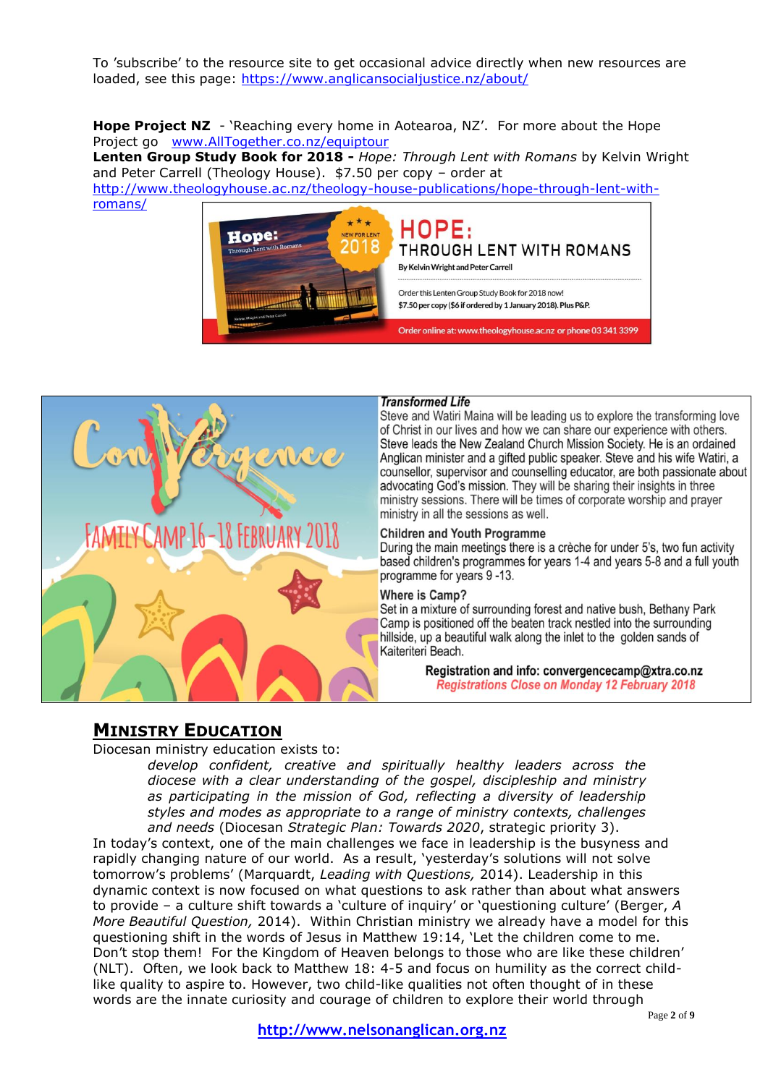To 'subscribe' to the resource site to get occasional advice directly when new resources are loaded, see this page: <https://www.anglicansocialjustice.nz/about/>

**Hope Project NZ** - 'Reaching every home in Aotearoa, NZ'. For more about the Hope Project go [www.AllTogether.co.nz/equiptour](http://www.alltogether.co.nz/equiptour)

**Lenten Group Study Book for 2018 -** *Hope: Through Lent with Romans* by Kelvin Wright and Peter Carrell (Theology House). \$7.50 per copy – order at [http://www.theologyhouse.ac.nz/theology-house-publications/hope-through-lent-with](http://www.theologyhouse.ac.nz/theology-house-publications/hope-through-lent-with-romans/)[romans/](http://www.theologyhouse.ac.nz/theology-house-publications/hope-through-lent-with-romans/)





#### **Transformed Life**

Steve and Watiri Maina will be leading us to explore the transforming love of Christ in our lives and how we can share our experience with others. Steve leads the New Zealand Church Mission Society. He is an ordained Anglican minister and a gifted public speaker. Steve and his wife Watiri, a counsellor, supervisor and counselling educator, are both passionate about advocating God's mission. They will be sharing their insights in three ministry sessions. There will be times of corporate worship and prayer ministry in all the sessions as well.

#### **Children and Youth Programme**

During the main meetings there is a crèche for under 5's, two fun activity based children's programmes for years 1-4 and years 5-8 and a full youth programme for years 9-13.

### Where is Camp?

Set in a mixture of surrounding forest and native bush, Bethany Park Camp is positioned off the beaten track nestled into the surrounding hillside, up a beautiful walk along the inlet to the golden sands of Kaiteriteri Beach.

> Registration and info: convergencecamp@xtra.co.nz **Registrations Close on Monday 12 February 2018**

## **MINISTRY EDUCATION**

Diocesan ministry education exists to:

*develop confident, creative and spiritually healthy leaders across the diocese with a clear understanding of the gospel, discipleship and ministry as participating in the mission of God, reflecting a diversity of leadership styles and modes as appropriate to a range of ministry contexts, challenges and needs* (Diocesan *Strategic Plan: Towards 2020*, strategic priority 3).

In today's context, one of the main challenges we face in leadership is the busyness and rapidly changing nature of our world. As a result, 'yesterday's solutions will not solve tomorrow's problems' (Marquardt, *Leading with Questions,* 2014). Leadership in this dynamic context is now focused on what questions to ask rather than about what answers to provide – a culture shift towards a 'culture of inquiry' or 'questioning culture' (Berger, *A More Beautiful Question,* 2014). Within Christian ministry we already have a model for this questioning shift in the words of Jesus in Matthew 19:14, 'Let the children come to me. Don't stop them! For the Kingdom of Heaven belongs to those who are like these children' (NLT). Often, we look back to Matthew 18: 4-5 and focus on humility as the correct childlike quality to aspire to. However, two child-like qualities not often thought of in these words are the innate curiosity and courage of children to explore their world through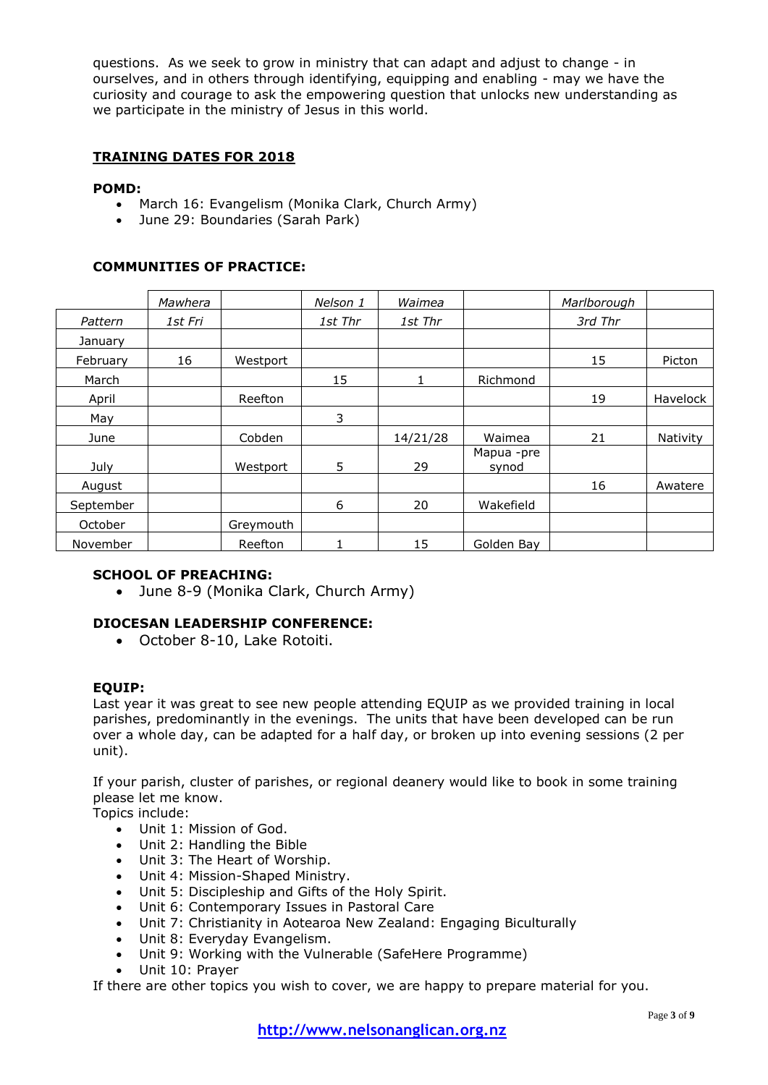questions. As we seek to grow in ministry that can adapt and adjust to change - in ourselves, and in others through identifying, equipping and enabling - may we have the curiosity and courage to ask the empowering question that unlocks new understanding as we participate in the ministry of Jesus in this world.

### **TRAINING DATES FOR 2018**

### **POMD:**

- March 16: Evangelism (Monika Clark, Church Army)
- June 29: Boundaries (Sarah Park)

### **COMMUNITIES OF PRACTICE:**

|           | Mawhera |           | Nelson 1 | Waimea   |                     | Marlborough |          |
|-----------|---------|-----------|----------|----------|---------------------|-------------|----------|
| Pattern   | 1st Fri |           | 1st Thr  | 1st Thr  |                     | 3rd Thr     |          |
| January   |         |           |          |          |                     |             |          |
| February  | 16      | Westport  |          |          |                     | 15          | Picton   |
| March     |         |           | 15       |          | Richmond            |             |          |
| April     |         | Reefton   |          |          |                     | 19          | Havelock |
| May       |         |           | 3        |          |                     |             |          |
| June      |         | Cobden    |          | 14/21/28 | Waimea              | 21          | Nativity |
| July      |         | Westport  | 5        | 29       | Mapua -pre<br>synod |             |          |
| August    |         |           |          |          |                     | 16          | Awatere  |
| September |         |           | 6        | 20       | Wakefield           |             |          |
| October   |         | Greymouth |          |          |                     |             |          |
| November  |         | Reefton   |          | 15       | Golden Bay          |             |          |

### **SCHOOL OF PREACHING:**

June 8-9 (Monika Clark, Church Army)

### **DIOCESAN LEADERSHIP CONFERENCE:**

October 8-10, Lake Rotoiti.

### **EQUIP:**

Last year it was great to see new people attending EQUIP as we provided training in local parishes, predominantly in the evenings. The units that have been developed can be run over a whole day, can be adapted for a half day, or broken up into evening sessions (2 per unit).

If your parish, cluster of parishes, or regional deanery would like to book in some training please let me know.

Topics include:

- Unit 1: Mission of God.
- Unit 2: Handling the Bible
- Unit 3: The Heart of Worship.
- Unit 4: Mission-Shaped Ministry.
- Unit 5: Discipleship and Gifts of the Holy Spirit.
- Unit 6: Contemporary Issues in Pastoral Care
- Unit 7: Christianity in Aotearoa New Zealand: Engaging Biculturally
- Unit 8: Everyday Evangelism.
- Unit 9: Working with the Vulnerable (SafeHere Programme)
- Unit 10: Prayer

If there are other topics you wish to cover, we are happy to prepare material for you.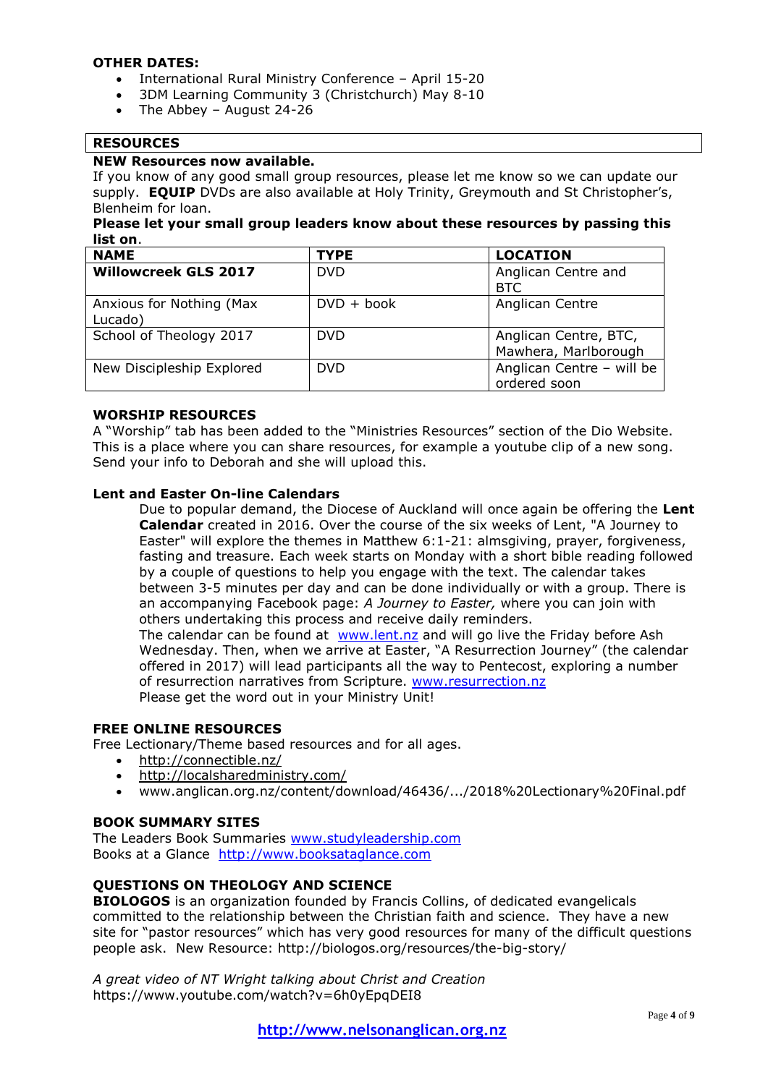### **OTHER DATES:**

- International Rural Ministry Conference April 15-20
- 3DM Learning Community 3 (Christchurch) May 8-10
- $\bullet$  The Abbey August 24-26

### **RESOURCES**

### **NEW Resources now available.**

If you know of any good small group resources, please let me know so we can update our supply. **EQUIP** DVDs are also available at Holy Trinity, Greymouth and St Christopher's, Blenheim for loan.

### **Please let your small group leaders know about these resources by passing this list on**.

| <b>NAME</b>                         | <b>TYPE</b>  | <b>LOCATION</b>                               |
|-------------------------------------|--------------|-----------------------------------------------|
| <b>Willowcreek GLS 2017</b>         | <b>DVD</b>   | Anglican Centre and<br><b>BTC</b>             |
| Anxious for Nothing (Max<br>Lucado) | $DVD + book$ | Anglican Centre                               |
| School of Theology 2017             | <b>DVD</b>   | Anglican Centre, BTC,<br>Mawhera, Marlborough |
| New Discipleship Explored           | <b>DVD</b>   | Anglican Centre - will be<br>ordered soon     |

### **WORSHIP RESOURCES**

A "Worship" tab has been added to the "Ministries Resources" section of the Dio Website. This is a place where you can share resources, for example a youtube clip of a new song. Send your info to Deborah and she will upload this.

### **Lent and Easter On-line Calendars**

Due to popular demand, the Diocese of Auckland will once again be offering the **Lent Calendar** created in 2016. Over the course of the six weeks of Lent, "A Journey to Easter" will explore the themes in Matthew 6:1-21: almsgiving, prayer, forgiveness, fasting and treasure. Each week starts on Monday with a short bible reading followed by a couple of questions to help you engage with the text. The calendar takes between 3-5 minutes per day and can be done individually or with a group. There is an accompanying Facebook page: *A Journey to Easter,* where you can join with others undertaking this process and receive daily reminders. The calendar can be found at [www.lent.nz](http://www.lent.nz/) and will go live the Friday before Ash Wednesday. Then, when we arrive at Easter, "A Resurrection Journey" (the calendar

offered in 2017) will lead participants all the way to Pentecost, exploring a number of resurrection narratives from Scripture. [www.resurrection.nz](http://www.resurrection.nz/) Please get the word out in your Ministry Unit!

### **FREE ONLINE RESOURCES**

Free Lectionary/Theme based resources and for all ages.

- <http://connectible.nz/>
- <http://localsharedministry.com/>
- www.anglican.org.nz/content/download/46436/.../2018%20Lectionary%20Final.pdf

### **BOOK SUMMARY SITES**

The Leaders Book Summaries [www.studyleadership.com](http://www.studyleadership.com/) Books at a Glance [http://www.booksataglance.com](http://www.booksataglance.com/)

### **QUESTIONS ON THEOLOGY AND SCIENCE**

**BIOLOGOS** is an organization founded by Francis Collins, of dedicated evangelicals committed to the relationship between the Christian faith and science. They have a new site for "pastor resources" which has very good resources for many of the difficult questions people ask. New Resource: http://biologos.org/resources/the-big-story/

*A great video of NT Wright talking about Christ and Creation* https://www.youtube.com/watch?v=6h0yEpqDEI8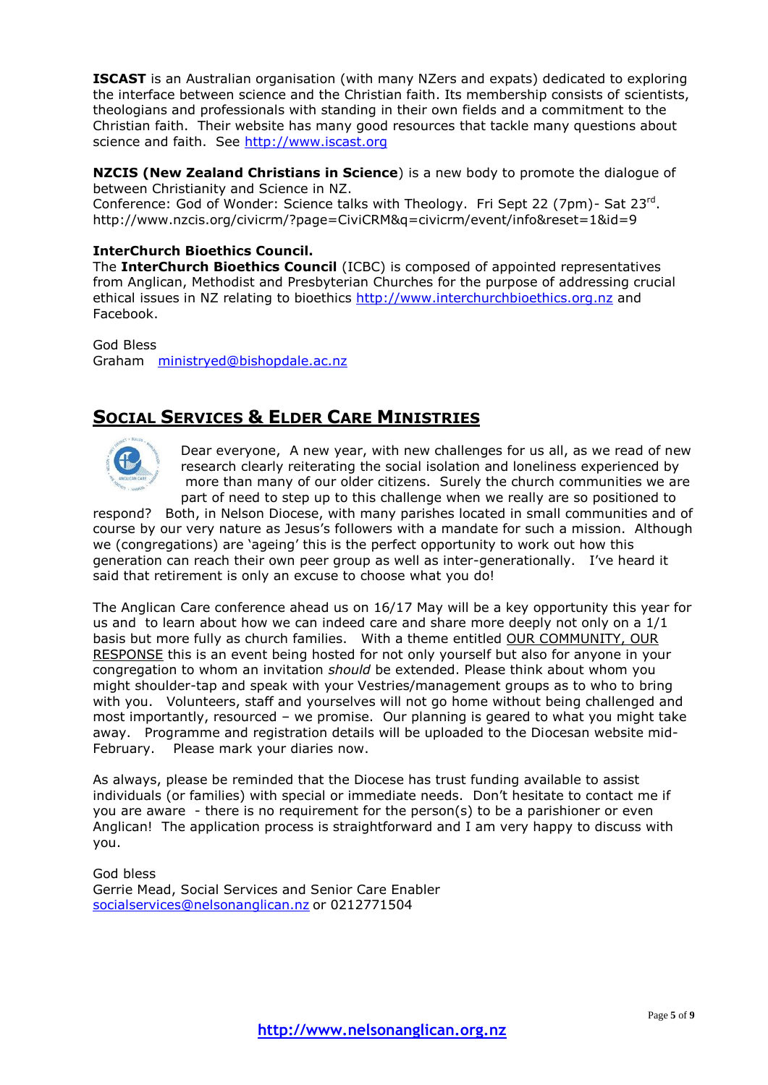**ISCAST** is an Australian organisation (with many NZers and expats) dedicated to exploring the interface between science and the Christian faith. Its membership consists of scientists, theologians and professionals with standing in their own fields and a commitment to the Christian faith. Their website has many good resources that tackle many questions about science and faith. See [http://www.iscast.org](http://www.iscast.org/)

**NZCIS (New Zealand Christians in Science**) is a new body to promote the dialogue of between Christianity and Science in NZ.

Conference: God of Wonder: Science talks with Theology. Fri Sept 22 (7pm) - Sat 23rd. http://www.nzcis.org/civicrm/?page=CiviCRM&q=civicrm/event/info&reset=1&id=9

### **InterChurch Bioethics Council.**

The **InterChurch Bioethics Council** (ICBC) is composed of appointed representatives from Anglican, Methodist and Presbyterian Churches for the purpose of addressing crucial ethical issues in NZ relating to bioethics [http://www.interchurchbioethics.org.nz](http://www.interchurchbioethics.org.nz/) and Facebook.

God Bless Graham [ministryed@bishopdale.ac.nz](mailto:ministryed@bishopdale.ac.nz)

## **SOCIAL SERVICES & ELDER CARE MINISTRIES**



Dear everyone, A new year, with new challenges for us all, as we read of new research clearly reiterating the social isolation and loneliness experienced by more than many of our older citizens. Surely the church communities we are part of need to step up to this challenge when we really are so positioned to

respond? Both, in Nelson Diocese, with many parishes located in small communities and of course by our very nature as Jesus's followers with a mandate for such a mission. Although we (congregations) are 'ageing' this is the perfect opportunity to work out how this generation can reach their own peer group as well as inter-generationally. I've heard it said that retirement is only an excuse to choose what you do!

The Anglican Care conference ahead us on 16/17 May will be a key opportunity this year for us and to learn about how we can indeed care and share more deeply not only on a 1/1 basis but more fully as church families. With a theme entitled OUR COMMUNITY, OUR RESPONSE this is an event being hosted for not only yourself but also for anyone in your congregation to whom an invitation *should* be extended. Please think about whom you might shoulder-tap and speak with your Vestries/management groups as to who to bring with you. Volunteers, staff and yourselves will not go home without being challenged and most importantly, resourced – we promise. Our planning is geared to what you might take away. Programme and registration details will be uploaded to the Diocesan website mid-February. Please mark your diaries now.

As always, please be reminded that the Diocese has trust funding available to assist individuals (or families) with special or immediate needs. Don't hesitate to contact me if you are aware - there is no requirement for the person(s) to be a parishioner or even Anglican! The application process is straightforward and I am very happy to discuss with you.

God bless Gerrie Mead, Social Services and Senior Care Enabler [socialservices@nelsonanglican.nz](mailto:socialservices@nelsonanglican.nz) or 0212771504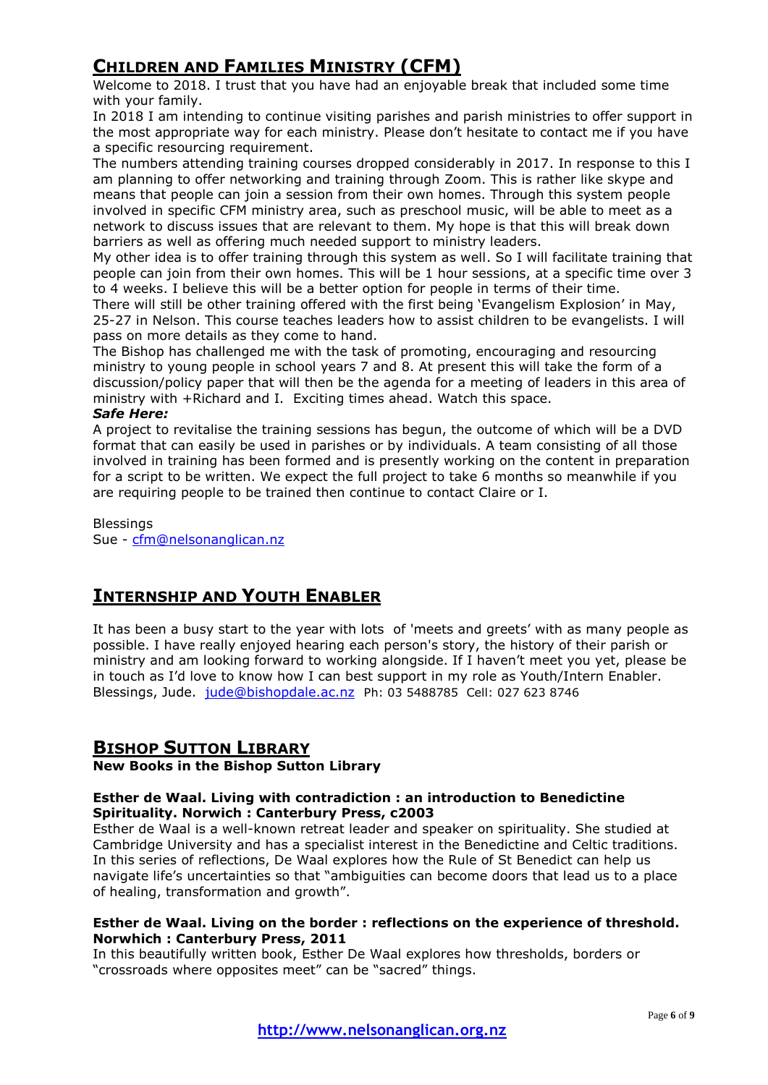## **CHILDREN AND FAMILIES MINISTRY (CFM)**

Welcome to 2018. I trust that you have had an enjoyable break that included some time with your family.

In 2018 I am intending to continue visiting parishes and parish ministries to offer support in the most appropriate way for each ministry. Please don't hesitate to contact me if you have a specific resourcing requirement.

The numbers attending training courses dropped considerably in 2017. In response to this I am planning to offer networking and training through Zoom. This is rather like skype and means that people can join a session from their own homes. Through this system people involved in specific CFM ministry area, such as preschool music, will be able to meet as a network to discuss issues that are relevant to them. My hope is that this will break down barriers as well as offering much needed support to ministry leaders.

My other idea is to offer training through this system as well. So I will facilitate training that people can join from their own homes. This will be 1 hour sessions, at a specific time over 3 to 4 weeks. I believe this will be a better option for people in terms of their time.

There will still be other training offered with the first being 'Evangelism Explosion' in May, 25-27 in Nelson. This course teaches leaders how to assist children to be evangelists. I will pass on more details as they come to hand.

The Bishop has challenged me with the task of promoting, encouraging and resourcing ministry to young people in school years 7 and 8. At present this will take the form of a discussion/policy paper that will then be the agenda for a meeting of leaders in this area of ministry with +Richard and I. Exciting times ahead. Watch this space.

### *Safe Here:*

A project to revitalise the training sessions has begun, the outcome of which will be a DVD format that can easily be used in parishes or by individuals. A team consisting of all those involved in training has been formed and is presently working on the content in preparation for a script to be written. We expect the full project to take 6 months so meanwhile if you are requiring people to be trained then continue to contact Claire or I.

### Blessings

Sue - [cfm@nelsonanglican.nz](mailto:cfm@nelsonanglican.nz)

## **INTERNSHIP AND YOUTH ENABLER**

It has been a busy start to the year with lots of 'meets and greets' with as many people as possible. I have really enjoyed hearing each person's story, the history of their parish or ministry and am looking forward to working alongside. If I haven't meet you yet, please be in touch as I'd love to know how I can best support in my role as Youth/Intern Enabler. Blessings, Jude. [jude@bishopdale.ac.nz](mailto:jude@bishopdale.ac.nz) Ph: 03 5488785 Cell: 027 623 8746

### **BISHOP SUTTON LIBRARY**

### **New Books in the Bishop Sutton Library**

### **Esther de Waal. Living with contradiction : an introduction to Benedictine Spirituality. Norwich : Canterbury Press, c2003**

Esther de Waal is a well-known retreat leader and speaker on spirituality. She studied at Cambridge University and has a specialist interest in the Benedictine and Celtic traditions. In this series of reflections, De Waal explores how the Rule of St Benedict can help us navigate life's uncertainties so that "ambiguities can become doors that lead us to a place of healing, transformation and growth".

### **Esther de Waal. Living on the border : reflections on the experience of threshold. Norwhich : Canterbury Press, 2011**

In this beautifully written book, Esther De Waal explores how thresholds, borders or "crossroads where opposites meet" can be "sacred" things.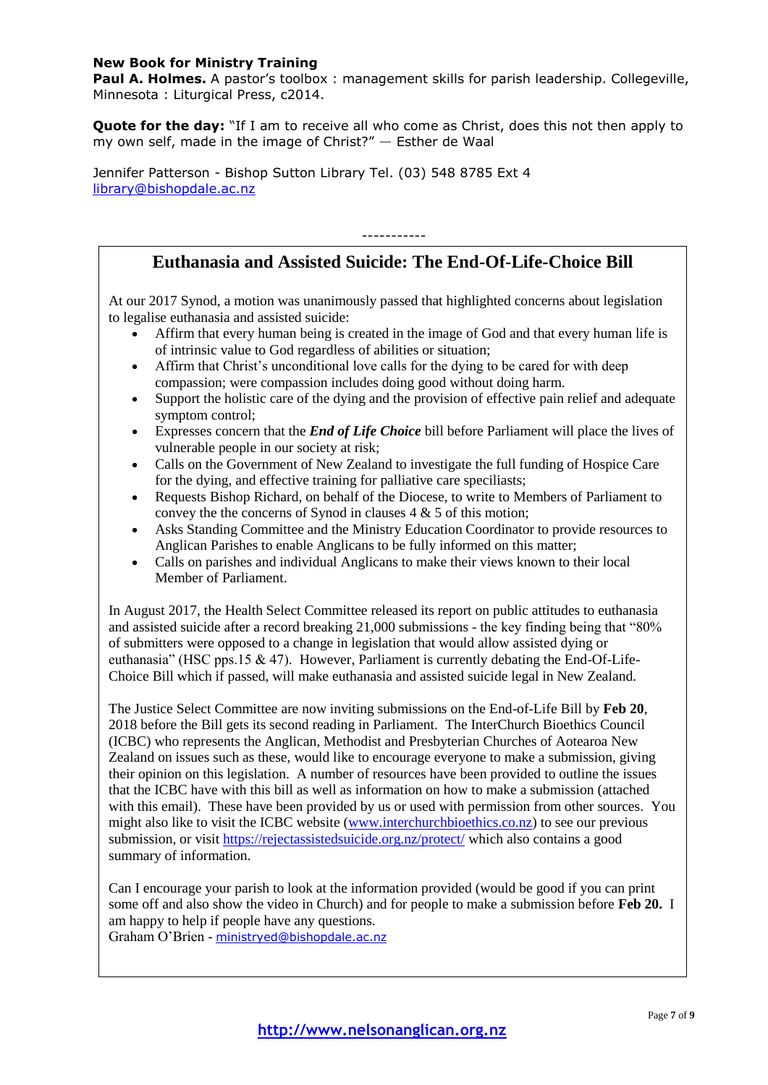### **New Book for Ministry Training**

**Paul A. Holmes.** A pastor's toolbox : management skills for parish leadership. Collegeville, Minnesota : Liturgical Press, c2014.

**Quote for the day:** "If I am to receive all who come as Christ, does this not then apply to my own self, made in the image of Christ?" — Esther de Waal

Jennifer Patterson - Bishop Sutton Library Tel. (03) 548 8785 Ext 4 [library@bishopdale.ac.nz](mailto:library@bishopdale.ac.nz)

### **Euthanasia and Assisted Suicide: The End-Of-Life-Choice Bill**

-----------

At our 2017 Synod, a motion was unanimously passed that highlighted concerns about legislation to legalise euthanasia and assisted suicide:

- Affirm that every human being is created in the image of God and that every human life is of intrinsic value to God regardless of abilities or situation;
- Affirm that Christ's unconditional love calls for the dying to be cared for with deep compassion; were compassion includes doing good without doing harm.
- Support the holistic care of the dying and the provision of effective pain relief and adequate symptom control;
- Expresses concern that the *End of Life Choice* bill before Parliament will place the lives of vulnerable people in our society at risk;
- Calls on the Government of New Zealand to investigate the full funding of Hospice Care for the dying, and effective training for palliative care speciliasts;
- Requests Bishop Richard, on behalf of the Diocese, to write to Members of Parliament to convey the the concerns of Synod in clauses 4 & 5 of this motion;
- Asks Standing Committee and the Ministry Education Coordinator to provide resources to Anglican Parishes to enable Anglicans to be fully informed on this matter;
- Calls on parishes and individual Anglicans to make their views known to their local Member of Parliament.

In August 2017, the Health Select Committee released its report on public attitudes to euthanasia and assisted suicide after a record breaking 21,000 submissions - the key finding being that "80% of submitters were opposed to a change in legislation that would allow assisted dying or euthanasia" (HSC pps.15  $\&$  47). However, Parliament is currently debating the End-Of-Life-Choice Bill which if passed, will make euthanasia and assisted suicide legal in New Zealand.

The Justice Select Committee are now inviting submissions on the End-of-Life Bill by **Feb 20**, 2018 before the Bill gets its second reading in Parliament. The InterChurch Bioethics Council (ICBC) who represents the Anglican, Methodist and Presbyterian Churches of Aotearoa New Zealand on issues such as these, would like to encourage everyone to make a submission, giving their opinion on this legislation. A number of resources have been provided to outline the issues that the ICBC have with this bill as well as information on how to make a submission (attached with this email). These have been provided by us or used with permission from other sources. You might also like to visit the ICBC website [\(www.interchurchbioethics.co.nz\)](http://www.interchurchbioethics.co.nz/) to see our previous submission, or visit<https://rejectassistedsuicide.org.nz/protect/> which also contains a good summary of information.

Can I encourage your parish to look at the information provided (would be good if you can print some off and also show the video in Church) and for people to make a submission before **Feb 20.** I am happy to help if people have any questions.

Graham O'Brien - [ministryed@bishopdale.ac.nz](mailto:ministryed@bishopdale.ac.nz)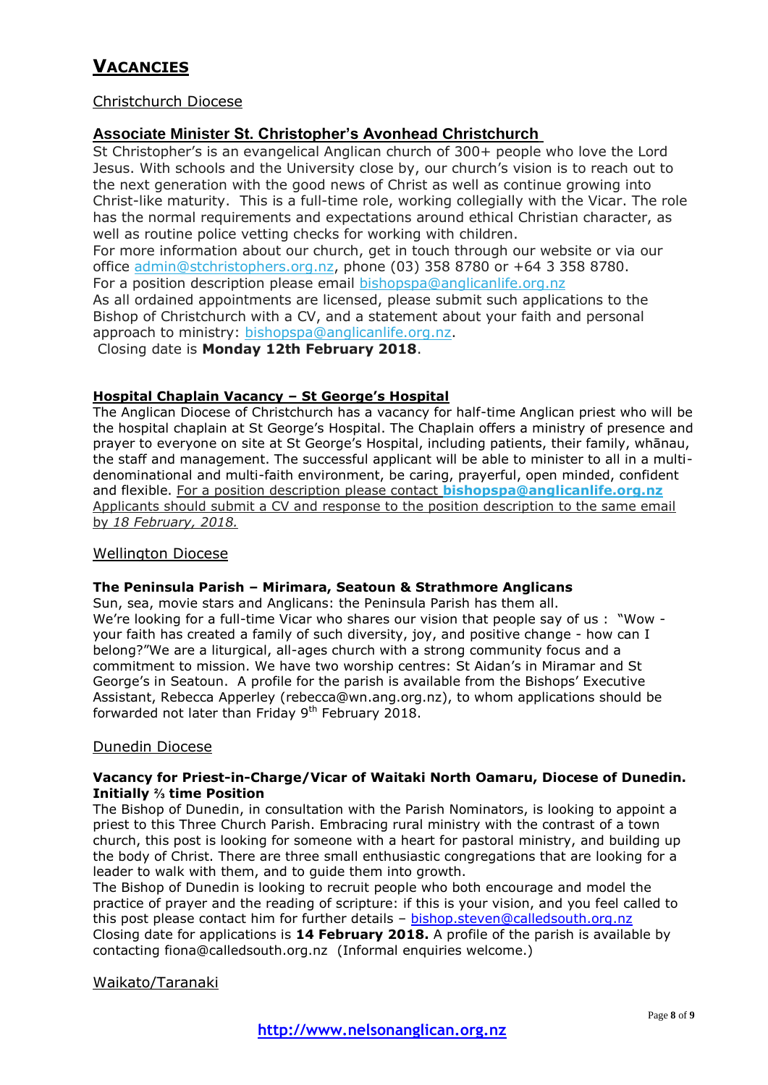## **VACANCIES**

### Christchurch Diocese

### **Associate Minister St. Christopher's Avonhead Christchurch**

St Christopher's is an evangelical Anglican church of 300+ people who love the Lord Jesus. With schools and the University close by, our church's vision is to reach out to the next generation with the good news of Christ as well as continue growing into Christ-like maturity. This is a full-time role, working collegially with the Vicar. The role has the normal requirements and expectations around ethical Christian character, as well as routine police vetting checks for working with children. For more information about our church, get in touch through our website or via our

office [admin@stchristophers.org.nz,](mailto:admin@stchristophers.org.nz?subject=Harvest%20Enquiry%20-%20Assoc%20Minister) phone (03) 358 8780 or +64 3 358 8780. For a position description please email [bishopspa@anglicanlife.org.nz](mailto:bishopspa@anglicanlife.org.nz?subject=Harvest%20enquiry%20-%20Job%20Description%20Please) As all ordained appointments are licensed, please submit such applications to the Bishop of Christchurch with a CV, and a statement about your faith and personal approach to ministry: [bishopspa@anglicanlife.org.nz.](mailto:bishopspa@anglicanlife.org.nz?subject=Harvest%20Enquiry%20-%20Application%20-%20Assoc%20Minister%20-%20St%20Christopher)

Closing date is **Monday 12th February 2018**.

### **Hospital Chaplain Vacancy – St George's Hospital**

The Anglican Diocese of Christchurch has a vacancy for half-time Anglican priest who will be the hospital chaplain at St George's Hospital. The Chaplain offers a ministry of presence and prayer to everyone on site at St George's Hospital, including patients, their family, whānau, the staff and management. The successful applicant will be able to minister to all in a multidenominational and multi-faith environment, be caring, prayerful, open minded, confident and flexible. For a position description please contact **[bishopspa@anglicanlife.org.nz](mailto:bishopspa@anglicanlife.org.nz?subject=Harvest%20Enquiry%20-%20Hospital%20Chaplain%20Vacancy%20%E2%80%93%20St%20George%E2%80%99s%20Hospital)** Applicants should submit a CV and response to the position description to the same email by *18 February, 2018.*

### Wellington Diocese

### **The Peninsula Parish – Mirimara, Seatoun & Strathmore Anglicans**

Sun, sea, movie stars and Anglicans: the Peninsula Parish has them all. We're looking for a full-time Vicar who shares our vision that people say of us : "Wow your faith has created a family of such diversity, joy, and positive change - how can I belong?"We are a liturgical, all-ages church with a strong community focus and a commitment to mission. We have two worship centres: St Aidan's in Miramar and St George's in Seatoun. A profile for the parish is available from the Bishops' Executive Assistant, Rebecca Apperley (rebecca@wn.ang.org.nz), to whom applications should be forwarded not later than Friday  $9<sup>th</sup>$  February 2018.

### Dunedin Diocese

### **Vacancy for Priest-in-Charge/Vicar of Waitaki North Oamaru, Diocese of Dunedin. Initially ⅔ time Position**

The Bishop of Dunedin, in consultation with the Parish Nominators, is looking to appoint a priest to this Three Church Parish. Embracing rural ministry with the contrast of a town church, this post is looking for someone with a heart for pastoral ministry, and building up the body of Christ. There are three small enthusiastic congregations that are looking for a leader to walk with them, and to guide them into growth.

The Bishop of Dunedin is looking to recruit people who both encourage and model the practice of prayer and the reading of scripture: if this is your vision, and you feel called to this post please contact him for further details - [bishop.steven@calledsouth.org.nz](mailto:bishop.steven@calledsouth.org.nz) Closing date for applications is **14 February 2018.** A profile of the parish is available by contacting fiona@calledsouth.org.nz (Informal enquiries welcome.)

### Waikato/Taranaki